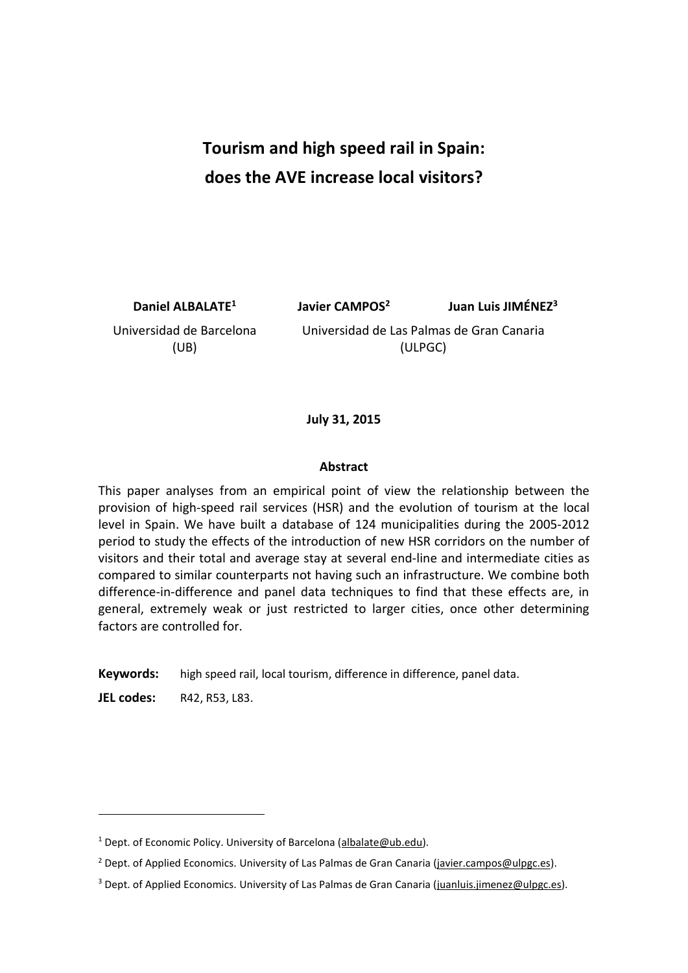# **Tourism and high speed rail in Spain: does the AVE increase local visitors?**

**Daniel ALBALATE<sup>1</sup>**

Universidad de Barcelona (UB)

**Javier CAMPOS<sup>2</sup> Juan Luis JIMÉNEZ<sup>3</sup>** Universidad de Las Palmas de Gran Canaria (ULPGC)

**July 31, 2015**

#### **Abstract**

This paper analyses from an empirical point of view the relationship between the provision of high-speed rail services (HSR) and the evolution of tourism at the local level in Spain. We have built a database of 124 municipalities during the 2005-2012 period to study the effects of the introduction of new HSR corridors on the number of visitors and their total and average stay at several end-line and intermediate cities as compared to similar counterparts not having such an infrastructure. We combine both difference-in-difference and panel data techniques to find that these effects are, in general, extremely weak or just restricted to larger cities, once other determining factors are controlled for.

**Keywords:** high speed rail, local tourism, difference in difference, panel data.

**JEL codes:** R42, R53, L83.

<sup>&</sup>lt;sup>1</sup> Dept. of Economic Policy. University of Barcelona [\(albalate@ub.edu\)](mailto:albalate@ub.edu).

<sup>&</sup>lt;sup>2</sup> Dept. of Applied Economics. University of Las Palmas de Gran Canaria [\(javier.campos@ulpgc.es\)](mailto:javier.campos@ulpgc.es).

<sup>&</sup>lt;sup>3</sup> Dept. of Applied Economics. University of Las Palmas de Gran Canaria [\(juanluis.jimenez@ulpgc.es\)](mailto:juanluis.jimenez@ulpgc.es).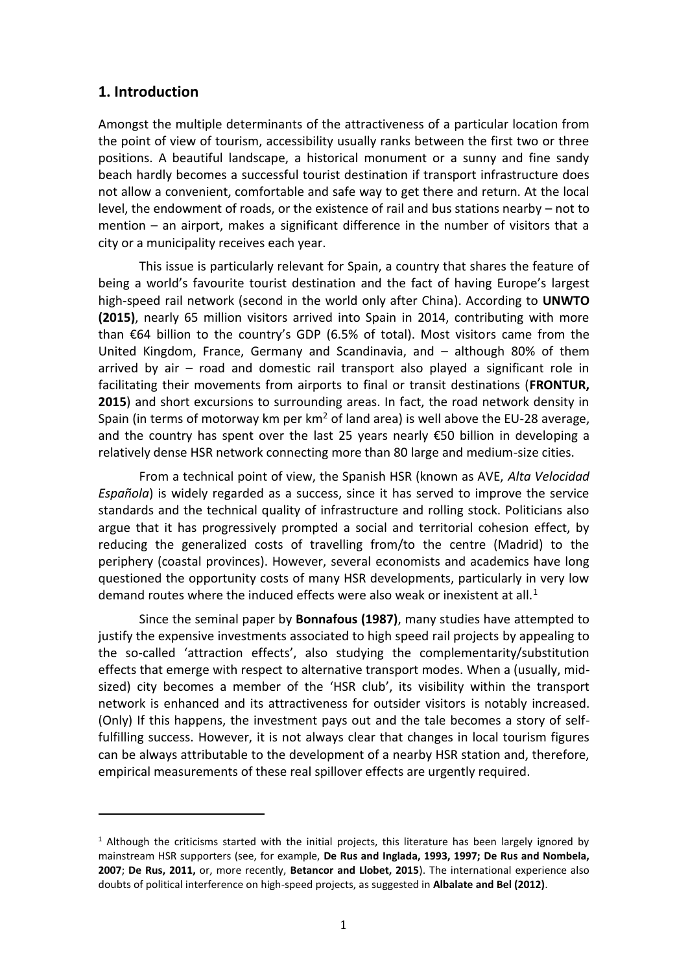## **1. Introduction**

**.** 

Amongst the multiple determinants of the attractiveness of a particular location from the point of view of tourism, accessibility usually ranks between the first two or three positions. A beautiful landscape, a historical monument or a sunny and fine sandy beach hardly becomes a successful tourist destination if transport infrastructure does not allow a convenient, comfortable and safe way to get there and return. At the local level, the endowment of roads, or the existence of rail and bus stations nearby – not to mention – an airport, makes a significant difference in the number of visitors that a city or a municipality receives each year.

This issue is particularly relevant for Spain, a country that shares the feature of being a world's favourite tourist destination and the fact of having Europe's largest high-speed rail network (second in the world only after China). According to **UNWTO (2015)**, nearly 65 million visitors arrived into Spain in 2014, contributing with more than €64 billion to the country's GDP (6.5% of total). Most visitors came from the United Kingdom, France, Germany and Scandinavia, and – although 80% of them arrived by air – road and domestic rail transport also played a significant role in facilitating their movements from airports to final or transit destinations (**FRONTUR, 2015**) and short excursions to surrounding areas. In fact, the road network density in Spain (in terms of motorway km per  $km^2$  of land area) is well above the EU-28 average, and the country has spent over the last 25 years nearly €50 billion in developing a relatively dense HSR network connecting more than 80 large and medium-size cities.

From a technical point of view, the Spanish HSR (known as AVE, *Alta Velocidad Española*) is widely regarded as a success, since it has served to improve the service standards and the technical quality of infrastructure and rolling stock. Politicians also argue that it has progressively prompted a social and territorial cohesion effect, by reducing the generalized costs of travelling from/to the centre (Madrid) to the periphery (coastal provinces). However, several economists and academics have long questioned the opportunity costs of many HSR developments, particularly in very low demand routes where the induced effects were also weak or inexistent at all.<sup>1</sup>

Since the seminal paper by **Bonnafous (1987)**, many studies have attempted to justify the expensive investments associated to high speed rail projects by appealing to the so-called 'attraction effects', also studying the complementarity/substitution effects that emerge with respect to alternative transport modes. When a (usually, midsized) city becomes a member of the 'HSR club', its visibility within the transport network is enhanced and its attractiveness for outsider visitors is notably increased. (Only) If this happens, the investment pays out and the tale becomes a story of selffulfilling success. However, it is not always clear that changes in local tourism figures can be always attributable to the development of a nearby HSR station and, therefore, empirical measurements of these real spillover effects are urgently required.

 $1$  Although the criticisms started with the initial projects, this literature has been largely ignored by mainstream HSR supporters (see, for example, **De Rus and Inglada, 1993, 1997; De Rus and Nombela, 2007**; **De Rus, 2011,** or, more recently, **Betancor and Llobet, 2015**). The international experience also doubts of political interference on high-speed projects, as suggested in **Albalate and Bel (2012)**.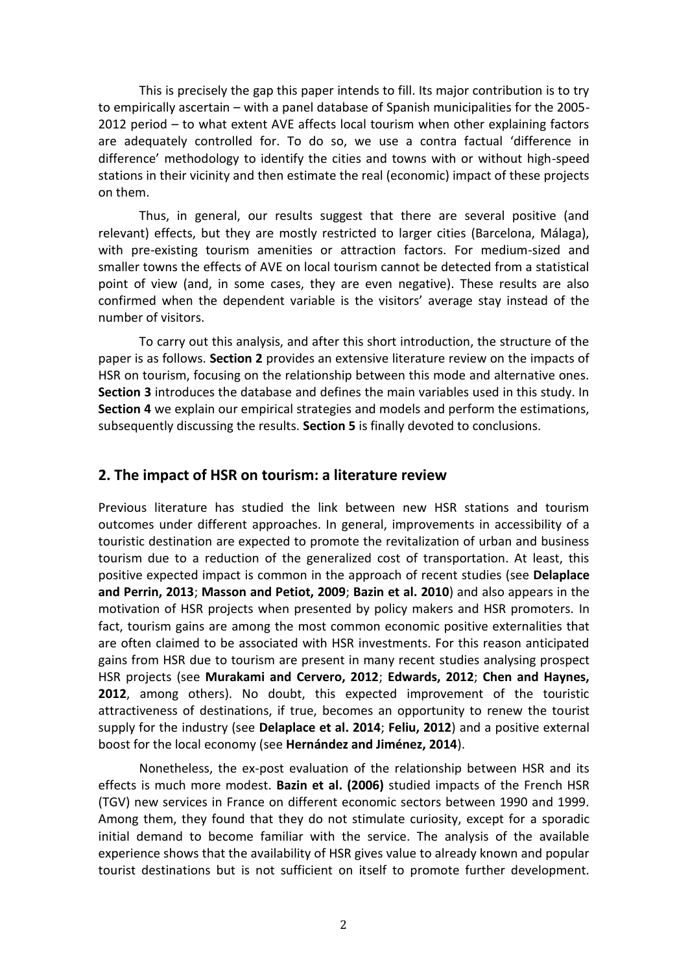This is precisely the gap this paper intends to fill. Its major contribution is to try to empirically ascertain – with a panel database of Spanish municipalities for the 2005- 2012 period – to what extent AVE affects local tourism when other explaining factors are adequately controlled for. To do so, we use a contra factual 'difference in difference' methodology to identify the cities and towns with or without high-speed stations in their vicinity and then estimate the real (economic) impact of these projects on them.

Thus, in general, our results suggest that there are several positive (and relevant) effects, but they are mostly restricted to larger cities (Barcelona, Málaga), with pre-existing tourism amenities or attraction factors. For medium-sized and smaller towns the effects of AVE on local tourism cannot be detected from a statistical point of view (and, in some cases, they are even negative). These results are also confirmed when the dependent variable is the visitors' average stay instead of the number of visitors.

To carry out this analysis, and after this short introduction, the structure of the paper is as follows. **Section 2** provides an extensive literature review on the impacts of HSR on tourism, focusing on the relationship between this mode and alternative ones. **Section 3** introduces the database and defines the main variables used in this study. In **Section 4** we explain our empirical strategies and models and perform the estimations, subsequently discussing the results. **Section 5** is finally devoted to conclusions.

#### **2. The impact of HSR on tourism: a literature review**

Previous literature has studied the link between new HSR stations and tourism outcomes under different approaches. In general, improvements in accessibility of a touristic destination are expected to promote the revitalization of urban and business tourism due to a reduction of the generalized cost of transportation. At least, this positive expected impact is common in the approach of recent studies (see **Delaplace and Perrin, 2013**; **Masson and Petiot, 2009**; **Bazin et al. 2010**) and also appears in the motivation of HSR projects when presented by policy makers and HSR promoters. In fact, tourism gains are among the most common economic positive externalities that are often claimed to be associated with HSR investments. For this reason anticipated gains from HSR due to tourism are present in many recent studies analysing prospect HSR projects (see **Murakami and Cervero, 2012**; **Edwards, 2012**; **Chen and Haynes, 2012**, among others). No doubt, this expected improvement of the touristic attractiveness of destinations, if true, becomes an opportunity to renew the tourist supply for the industry (see **Delaplace et al. 2014**; **Feliu, 2012**) and a positive external boost for the local economy (see **Hernández and Jiménez, 2014**).

Nonetheless, the ex-post evaluation of the relationship between HSR and its effects is much more modest. **Bazin et al. (2006)** studied impacts of the French HSR (TGV) new services in France on different economic sectors between 1990 and 1999. Among them, they found that they do not stimulate curiosity, except for a sporadic initial demand to become familiar with the service. The analysis of the available experience shows that the availability of HSR gives value to already known and popular tourist destinations but is not sufficient on itself to promote further development.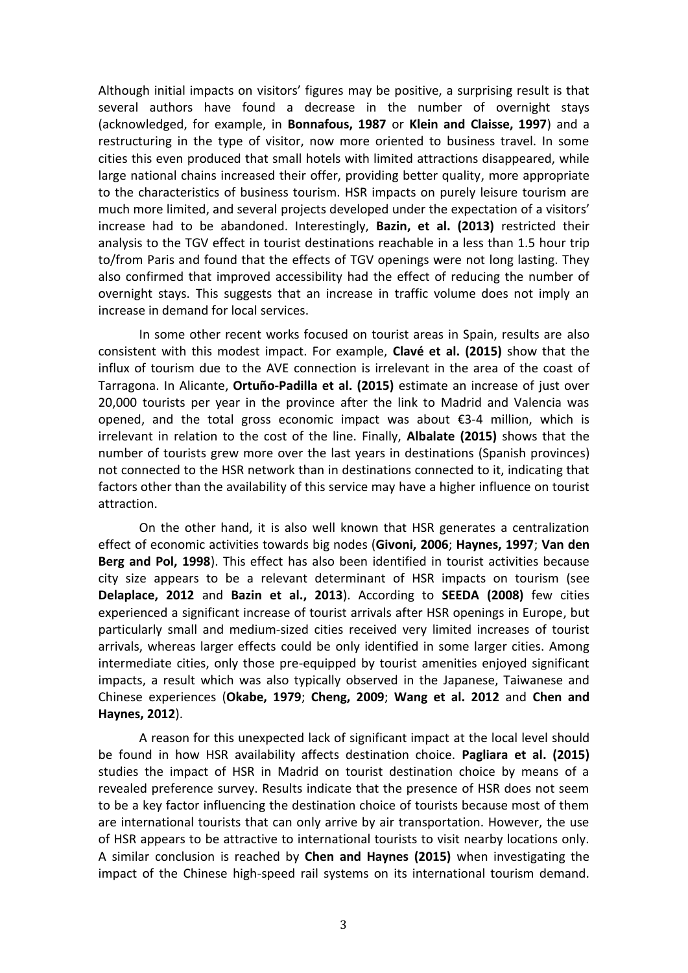Although initial impacts on visitors' figures may be positive, a surprising result is that several authors have found a decrease in the number of overnight stays (acknowledged, for example, in **Bonnafous, 1987** or **Klein and Claisse, 1997**) and a restructuring in the type of visitor, now more oriented to business travel. In some cities this even produced that small hotels with limited attractions disappeared, while large national chains increased their offer, providing better quality, more appropriate to the characteristics of business tourism. HSR impacts on purely leisure tourism are much more limited, and several projects developed under the expectation of a visitors' increase had to be abandoned. Interestingly, **Bazin, et al. (2013)** restricted their analysis to the TGV effect in tourist destinations reachable in a less than 1.5 hour trip to/from Paris and found that the effects of TGV openings were not long lasting. They also confirmed that improved accessibility had the effect of reducing the number of overnight stays. This suggests that an increase in traffic volume does not imply an increase in demand for local services.

In some other recent works focused on tourist areas in Spain, results are also consistent with this modest impact. For example, **Clavé et al. (2015)** show that the influx of tourism due to the AVE connection is irrelevant in the area of the coast of Tarragona. In Alicante, **Ortuño-Padilla et al. (2015)** estimate an increase of just over 20,000 tourists per year in the province after the link to Madrid and Valencia was opened, and the total gross economic impact was about  $\epsilon$ 3-4 million, which is irrelevant in relation to the cost of the line. Finally, **Albalate (2015)** shows that the number of tourists grew more over the last years in destinations (Spanish provinces) not connected to the HSR network than in destinations connected to it, indicating that factors other than the availability of this service may have a higher influence on tourist attraction.

On the other hand, it is also well known that HSR generates a centralization effect of economic activities towards big nodes (**Givoni, 2006**; **Haynes, 1997**; **Van den Berg and Pol, 1998**). This effect has also been identified in tourist activities because city size appears to be a relevant determinant of HSR impacts on tourism (see **Delaplace, 2012** and **Bazin et al., 2013**). According to **SEEDA (2008)** few cities experienced a significant increase of tourist arrivals after HSR openings in Europe, but particularly small and medium-sized cities received very limited increases of tourist arrivals, whereas larger effects could be only identified in some larger cities. Among intermediate cities, only those pre-equipped by tourist amenities enjoyed significant impacts, a result which was also typically observed in the Japanese, Taiwanese and Chinese experiences (**Okabe, 1979**; **Cheng, 2009**; **Wang et al. 2012** and **Chen and Haynes, 2012**).

A reason for this unexpected lack of significant impact at the local level should be found in how HSR availability affects destination choice. **Pagliara et al. (2015)** studies the impact of HSR in Madrid on tourist destination choice by means of a revealed preference survey. Results indicate that the presence of HSR does not seem to be a key factor influencing the destination choice of tourists because most of them are international tourists that can only arrive by air transportation. However, the use of HSR appears to be attractive to international tourists to visit nearby locations only. A similar conclusion is reached by **Chen and Haynes (2015)** when investigating the impact of the Chinese high-speed rail systems on its international tourism demand.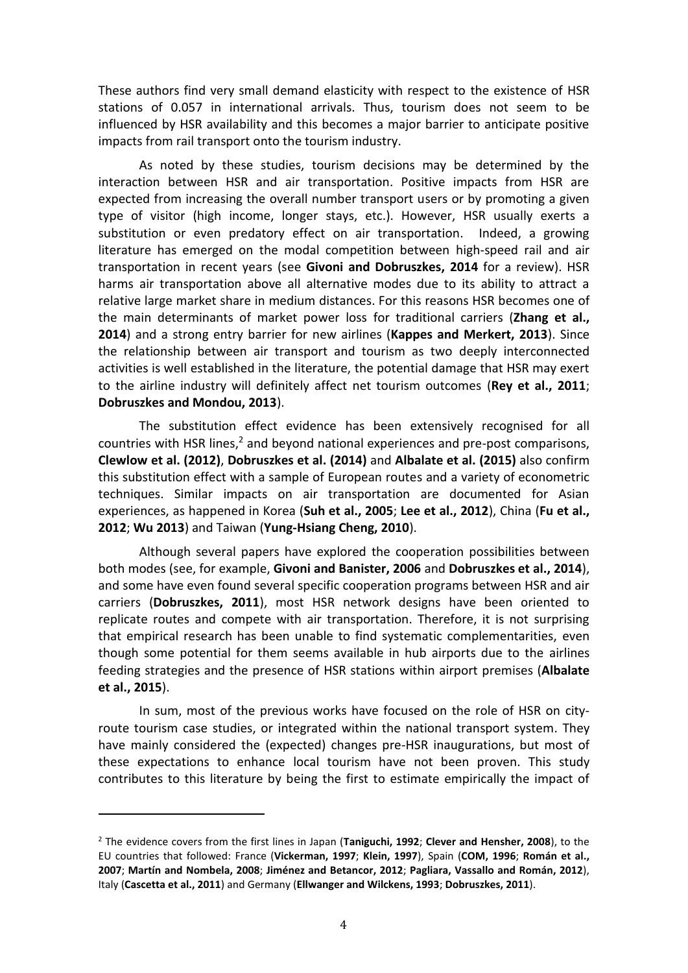These authors find very small demand elasticity with respect to the existence of HSR stations of 0.057 in international arrivals. Thus, tourism does not seem to be influenced by HSR availability and this becomes a major barrier to anticipate positive impacts from rail transport onto the tourism industry.

As noted by these studies, tourism decisions may be determined by the interaction between HSR and air transportation. Positive impacts from HSR are expected from increasing the overall number transport users or by promoting a given type of visitor (high income, longer stays, etc.). However, HSR usually exerts a substitution or even predatory effect on air transportation. Indeed, a growing literature has emerged on the modal competition between high-speed rail and air transportation in recent years (see **Givoni and Dobruszkes, 2014** for a review). HSR harms air transportation above all alternative modes due to its ability to attract a relative large market share in medium distances. For this reasons HSR becomes one of the main determinants of market power loss for traditional carriers (**Zhang et al., 2014**) and a strong entry barrier for new airlines (**Kappes and Merkert, 2013**). Since the relationship between air transport and tourism as two deeply interconnected activities is well established in the literature, the potential damage that HSR may exert to the airline industry will definitely affect net tourism outcomes (**Rey et al., 2011**; **Dobruszkes and Mondou, 2013**).

The substitution effect evidence has been extensively recognised for all countries with HSR lines,<sup>2</sup> and beyond national experiences and pre-post comparisons, **Clewlow et al. (2012)**, **Dobruszkes et al. (2014)** and **Albalate et al. (2015)** also confirm this substitution effect with a sample of European routes and a variety of econometric techniques. Similar impacts on air transportation are documented for Asian experiences, as happened in Korea (**Suh et al., 2005**; **Lee et al., 2012**), China (**Fu et al., 2012**; **Wu 2013**) and Taiwan (**Yung-Hsiang Cheng, 2010**).

Although several papers have explored the cooperation possibilities between both modes (see, for example, **Givoni and Banister, 2006** and **Dobruszkes et al., 2014**), and some have even found several specific cooperation programs between HSR and air carriers (**Dobruszkes, 2011**), most HSR network designs have been oriented to replicate routes and compete with air transportation. Therefore, it is not surprising that empirical research has been unable to find systematic complementarities, even though some potential for them seems available in hub airports due to the airlines feeding strategies and the presence of HSR stations within airport premises (**Albalate et al., 2015**).

In sum, most of the previous works have focused on the role of HSR on cityroute tourism case studies, or integrated within the national transport system. They have mainly considered the (expected) changes pre-HSR inaugurations, but most of these expectations to enhance local tourism have not been proven. This study contributes to this literature by being the first to estimate empirically the impact of

<sup>2</sup> The evidence covers from the first lines in Japan (**Taniguchi, 1992**; **Clever and Hensher, 2008**), to the EU countries that followed: France (**Vickerman, 1997**; **Klein, 1997**), Spain (**COM, 1996**; **Román et al., 2007**; **Martín and Nombela, 2008**; **Jiménez and Betancor, 2012**; **Pagliara, Vassallo and Román, 2012**), Italy (**Cascetta et al., 2011**) and Germany (**Ellwanger and Wilckens, 1993**; **Dobruszkes, 2011**).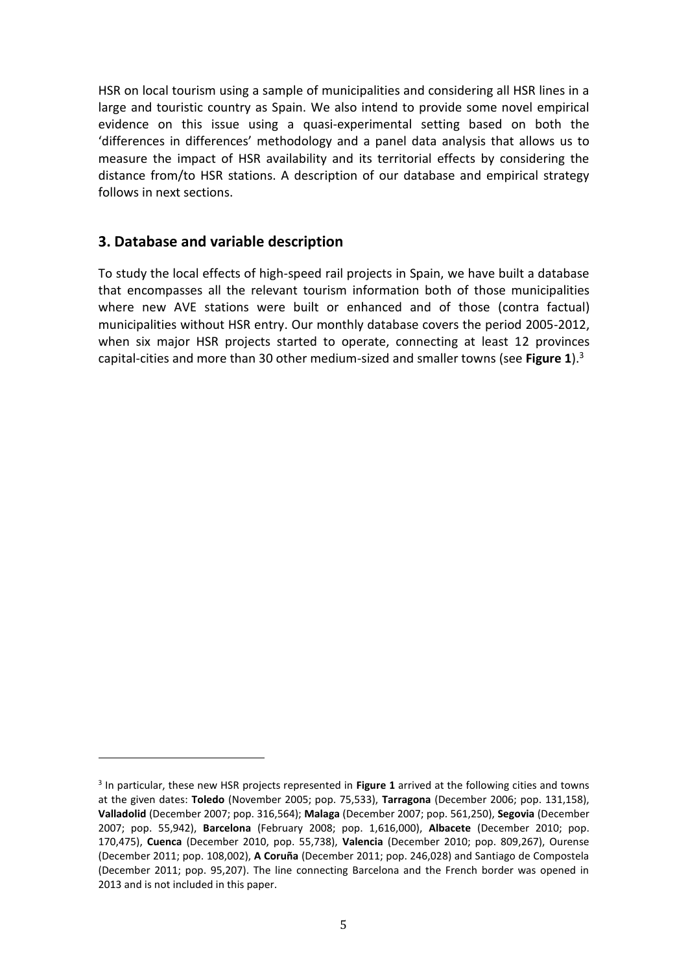HSR on local tourism using a sample of municipalities and considering all HSR lines in a large and touristic country as Spain. We also intend to provide some novel empirical evidence on this issue using a quasi-experimental setting based on both the 'differences in differences' methodology and a panel data analysis that allows us to measure the impact of HSR availability and its territorial effects by considering the distance from/to HSR stations. A description of our database and empirical strategy follows in next sections.

# **3. Database and variable description**

**.** 

<span id="page-5-0"></span>To study the local effects of high-speed rail projects in Spain, we have built a database that encompasses all the relevant tourism information both of those municipalities where new AVE stations were built or enhanced and of those (contra factual) municipalities without HSR entry. Our monthly database covers the period 2005-2012, when six major HSR projects started to operate, connecting at least 12 provinces capital-cities and more than 30 other medium-sized and smaller towns (see **Figure 1**).<sup>3</sup>

<sup>3</sup> In particular, these new HSR projects represented in **Figure 1** arrived at the following cities and towns at the given dates: **Toledo** (November 2005; pop. 75,533), **Tarragona** (December 2006; pop. 131,158), **Valladolid** (December 2007; pop. 316,564); **Malaga** (December 2007; pop. 561,250), **Segovia** (December 2007; pop. 55,942), **Barcelona** (February 2008; pop. 1,616,000), **Albacete** (December 2010; pop. 170,475), **Cuenca** (December 2010, pop. 55,738), **Valencia** (December 2010; pop. 809,267), Ourense (December 2011; pop. 108,002), **A Coruña** (December 2011; pop. 246,028) and Santiago de Compostela (December 2011; pop. 95,207). The line connecting Barcelona and the French border was opened in 2013 and is not included in this paper.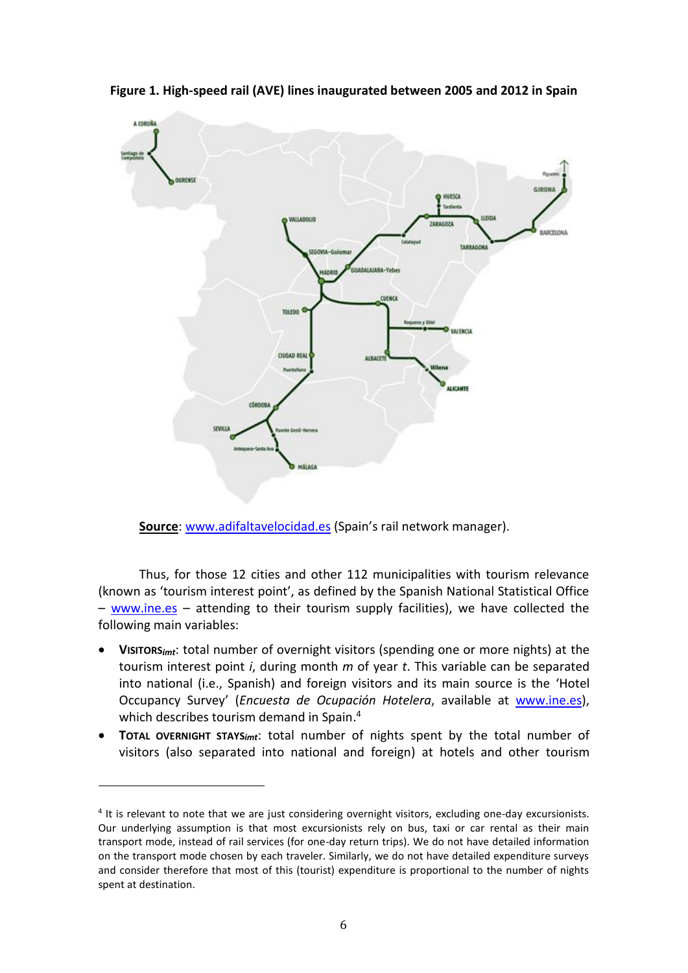

**Figure 1. High-speed rail (AVE) lines inaugurated between 2005 and 2012 in Spain**

**Source**: [www.adifaltavelocidad.es](http://www.adifaltavelocidad.es/) (Spain's rail network manager).

Thus, for those 12 cities and other 112 municipalities with tourism relevance (known as 'tourism interest point', as defined by the Spanish National Statistical Office – [www.ine.es](http://www.ine.es/) – attending to their tourism supply facilities), we have collected the following main variables:

- **VISITORS**<sub>*imt*</sub>: total number of overnight visitors (spending one or more nights) at the tourism interest point *i*, during month *m* of year *t*. This variable can be separated into national (i.e., Spanish) and foreign visitors and its main source is the 'Hotel Occupancy Survey' (*Encuesta de Ocupación Hotelera*, available at [www.ine.es\)](http://www.ine.es/), which describes tourism demand in Spain.<sup>4</sup>
- **TOTAL OVERNIGHT STAYS***imt*: total number of nights spent by the total number of visitors (also separated into national and foreign) at hotels and other tourism

<sup>&</sup>lt;sup>4</sup> It is relevant to note that we are just considering overnight visitors, excluding one-day excursionists. Our underlying assumption is that most excursionists rely on bus, taxi or car rental as their main transport mode, instead of rail services (for one-day return trips). We do not have detailed information on the transport mode chosen by each traveler. Similarly, we do not have detailed expenditure surveys and consider therefore that most of this (tourist) expenditure is proportional to the number of nights spent at destination.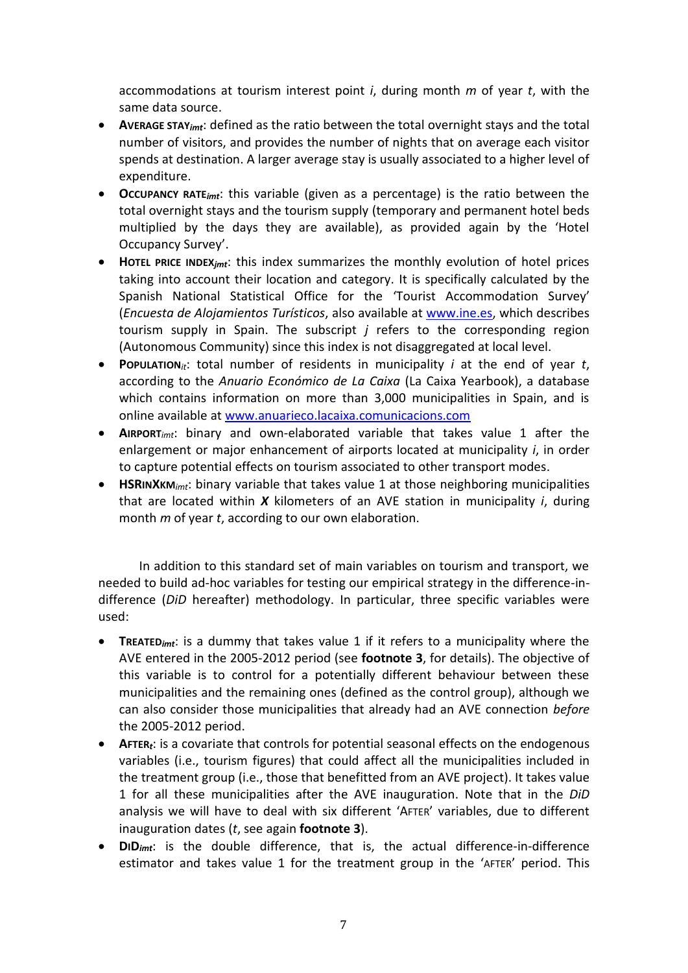accommodations at tourism interest point *i*, during month *m* of year *t*, with the same data source.

- **AVERAGE STAY***imt*: defined as the ratio between the total overnight stays and the total number of visitors, and provides the number of nights that on average each visitor spends at destination. A larger average stay is usually associated to a higher level of expenditure.
- **OCCUPANCY RATE***imt*: this variable (given as a percentage) is the ratio between the total overnight stays and the tourism supply (temporary and permanent hotel beds multiplied by the days they are available), as provided again by the 'Hotel Occupancy Survey'.
- **HOTEL PRICE INDEX***jmt*: this index summarizes the monthly evolution of hotel prices taking into account their location and category. It is specifically calculated by the Spanish National Statistical Office for the 'Tourist Accommodation Survey' (*Encuesta de Alojamientos Turísticos*, also available at [www.ine.es,](http://www.ine.es/) which describes tourism supply in Spain. The subscript *j* refers to the corresponding region (Autonomous Community) since this index is not disaggregated at local level.
- **POPULATION***it*: total number of residents in municipality *i* at the end of year *t*, according to the *Anuario Económico de La Caixa* (La Caixa Yearbook), a database which contains information on more than 3,000 municipalities in Spain, and is online available at [www.anuarieco.lacaixa.comunicacions.com](http://www.anuarieco.lacaixa.comunicacions.com/)
- **AIRPORT***imt*: binary and own-elaborated variable that takes value 1 after the enlargement or major enhancement of airports located at municipality *i*, in order to capture potential effects on tourism associated to other transport modes.
- **HSRINXKM***imt*: binary variable that takes value 1 at those neighboring municipalities that are located within *X* kilometers of an AVE station in municipality *i*, during month *m* of year *t*, according to our own elaboration.

In addition to this standard set of main variables on tourism and transport, we needed to build ad-hoc variables for testing our empirical strategy in the difference-indifference (*DiD* hereafter) methodology. In particular, three specific variables were used:

- **TREATED***imt*: is a dummy that takes value 1 if it refers to a municipality where the AVE entered in the 2005-2012 period (see **footnote [3](#page-5-0)**, for details). The objective of this variable is to control for a potentially different behaviour between these municipalities and the remaining ones (defined as the control group), although we can also consider those municipalities that already had an AVE connection *before* the 2005-2012 period.
- **AFTER***t*: is a covariate that controls for potential seasonal effects on the endogenous variables (i.e., tourism figures) that could affect all the municipalities included in the treatment group (i.e., those that benefitted from an AVE project). It takes value 1 for all these municipalities after the AVE inauguration. Note that in the *DiD* analysis we will have to deal with six different 'AFTER' variables, due to different inauguration dates (*t*, see again **footnote [3](#page-5-0)**).
- **DID***imt*: is the double difference, that is, the actual difference-in-difference estimator and takes value 1 for the treatment group in the 'AFTER' period. This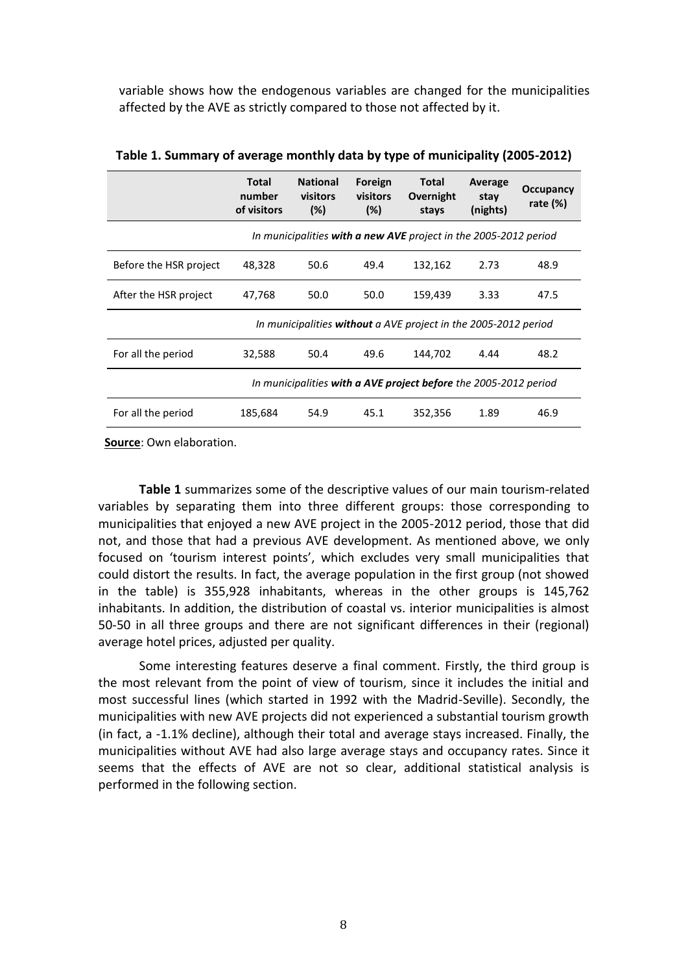variable shows how the endogenous variables are changed for the municipalities affected by the AVE as strictly compared to those not affected by it.

|                        | Total<br>number<br>of visitors                                  | <b>National</b><br>visitors<br>$(\%)$ | Foreign<br>visitors<br>(%) | <b>Total</b><br>Overnight<br>stays                                      | Average<br>stay<br>(nights) | Occupancy<br>rate $(\%)$ |
|------------------------|-----------------------------------------------------------------|---------------------------------------|----------------------------|-------------------------------------------------------------------------|-----------------------------|--------------------------|
|                        |                                                                 |                                       |                            | In municipalities <b>with a new AVE</b> project in the 2005-2012 period |                             |                          |
| Before the HSR project | 48,328                                                          | 50.6                                  | 49.4                       | 132,162                                                                 | 2.73                        | 48.9                     |
| After the HSR project  | 47,768                                                          | 50.0                                  | 50.0                       | 159,439                                                                 | 3.33                        | 47.5                     |
|                        | In municipalities without a AVE project in the 2005-2012 period |                                       |                            |                                                                         |                             |                          |
| For all the period     | 32,588                                                          | 50.4                                  | 49.6                       | 144.702                                                                 | 4.44                        | 48.2                     |
|                        |                                                                 |                                       |                            | In municipalities <b>with a AVE project before</b> the 2005-2012 period |                             |                          |
| For all the period     | 185,684                                                         | 54.9                                  | 45.1                       | 352,356                                                                 | 1.89                        | 46.9                     |

**Table 1. Summary of average monthly data by type of municipality (2005-2012)** 

**Source**: Own elaboration.

**Table 1** summarizes some of the descriptive values of our main tourism-related variables by separating them into three different groups: those corresponding to municipalities that enjoyed a new AVE project in the 2005-2012 period, those that did not, and those that had a previous AVE development. As mentioned above, we only focused on 'tourism interest points', which excludes very small municipalities that could distort the results. In fact, the average population in the first group (not showed in the table) is 355,928 inhabitants, whereas in the other groups is 145,762 inhabitants. In addition, the distribution of coastal vs. interior municipalities is almost 50-50 in all three groups and there are not significant differences in their (regional) average hotel prices, adjusted per quality.

Some interesting features deserve a final comment. Firstly, the third group is the most relevant from the point of view of tourism, since it includes the initial and most successful lines (which started in 1992 with the Madrid-Seville). Secondly, the municipalities with new AVE projects did not experienced a substantial tourism growth (in fact, a -1.1% decline), although their total and average stays increased. Finally, the municipalities without AVE had also large average stays and occupancy rates. Since it seems that the effects of AVE are not so clear, additional statistical analysis is performed in the following section.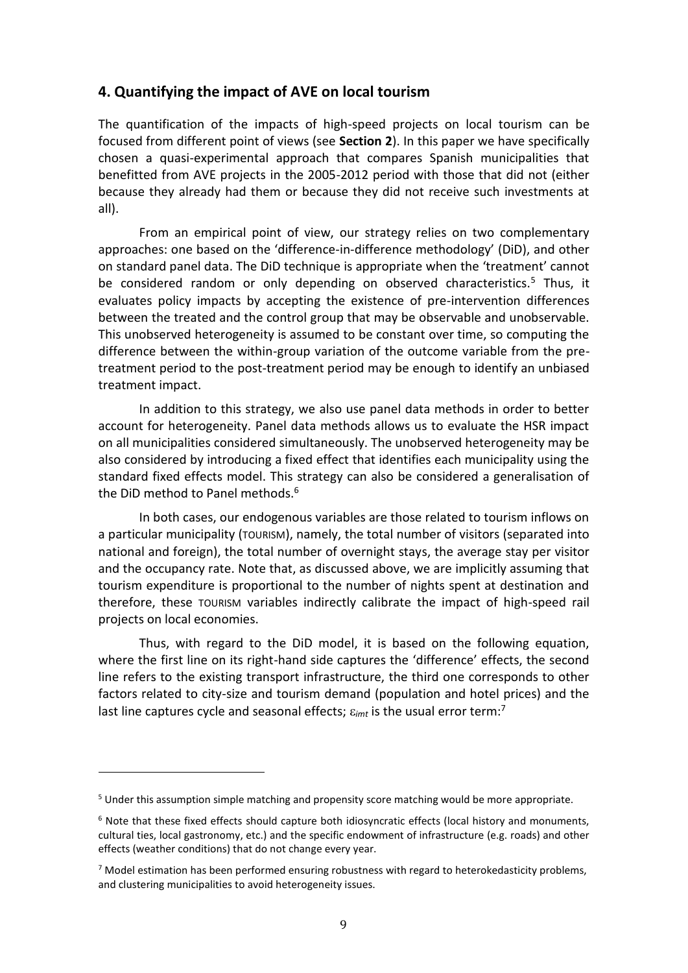## **4. Quantifying the impact of AVE on local tourism**

The quantification of the impacts of high-speed projects on local tourism can be focused from different point of views (see **Section 2**). In this paper we have specifically chosen a quasi-experimental approach that compares Spanish municipalities that benefitted from AVE projects in the 2005-2012 period with those that did not (either because they already had them or because they did not receive such investments at all).

From an empirical point of view, our strategy relies on two complementary approaches: one based on the 'difference-in-difference methodology' (DiD), and other on standard panel data. The DiD technique is appropriate when the 'treatment' cannot be considered random or only depending on observed characteristics.<sup>5</sup> Thus, it evaluates policy impacts by accepting the existence of pre-intervention differences between the treated and the control group that may be observable and unobservable. This unobserved heterogeneity is assumed to be constant over time, so computing the difference between the within-group variation of the outcome variable from the pretreatment period to the post-treatment period may be enough to identify an unbiased treatment impact.

In addition to this strategy, we also use panel data methods in order to better account for heterogeneity. Panel data methods allows us to evaluate the HSR impact on all municipalities considered simultaneously. The unobserved heterogeneity may be also considered by introducing a fixed effect that identifies each municipality using the standard fixed effects model. This strategy can also be considered a generalisation of the DiD method to Panel methods.<sup>6</sup>

In both cases, our endogenous variables are those related to tourism inflows on a particular municipality (TOURISM), namely, the total number of visitors (separated into national and foreign), the total number of overnight stays, the average stay per visitor and the occupancy rate. Note that, as discussed above, we are implicitly assuming that tourism expenditure is proportional to the number of nights spent at destination and therefore, these TOURISM variables indirectly calibrate the impact of high-speed rail projects on local economies.

Thus, with regard to the DiD model, it is based on the following equation, where the first line on its right-hand side captures the 'difference' effects, the second line refers to the existing transport infrastructure, the third one corresponds to other factors related to city-size and tourism demand (population and hotel prices) and the last line captures cycle and seasonal effects;  $\varepsilon_{imt}$  is the usual error term:<sup>7</sup>

<sup>5</sup> Under this assumption simple matching and propensity score matching would be more appropriate.

 $6$  Note that these fixed effects should capture both idiosyncratic effects (local history and monuments, cultural ties, local gastronomy, etc.) and the specific endowment of infrastructure (e.g. roads) and other effects (weather conditions) that do not change every year.

 $7$  Model estimation has been performed ensuring robustness with regard to heterokedasticity problems, and clustering municipalities to avoid heterogeneity issues.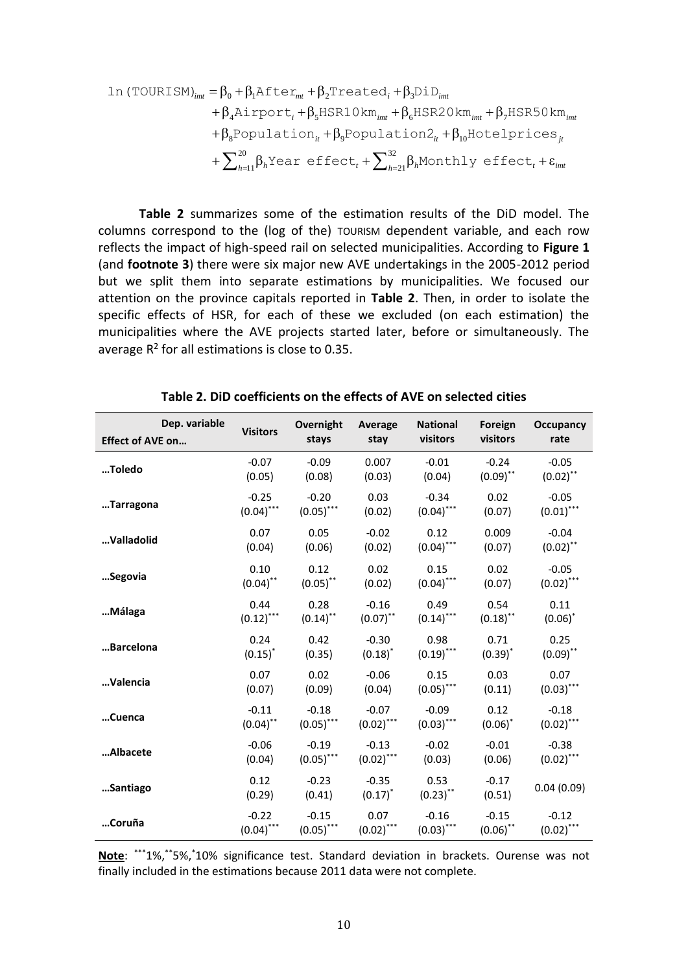$$
\begin{aligned}\n\text{In (TOURISM)}_{\text{imt}} &= \beta_0 + \beta_1 \text{After}_{\text{imt}} + \beta_2 \text{Treated}_i + \beta_3 \text{DiD}_{\text{imt}} \\
&\quad + \beta_4 \text{Airport}_i + \beta_5 \text{HSR10km}_{\text{imt}} + \beta_6 \text{HSR20km}_{\text{imt}} + \beta_7 \text{HSR50km}_{\text{imt}} \\
&\quad + \beta_8 \text{Population}_{i_t} + \beta_9 \text{Population}_{i_t} + \beta_{10} \text{Hotel prices}_{j_t} \\
&\quad + \sum_{h=11}^{20} \beta_h \text{Year effect}_t + \sum_{h=21}^{32} \beta_h \text{Monthly effect}_t + \varepsilon_{\text{imt}}\n\end{aligned}
$$

**Table 2** summarizes some of the estimation results of the DiD model. The columns correspond to the (log of the) TOURISM dependent variable, and each row reflects the impact of high-speed rail on selected municipalities. According to **Figure 1** (and **footnote [3](#page-5-0)**) there were six major new AVE undertakings in the 2005-2012 period but we split them into separate estimations by municipalities. We focused our attention on the province capitals reported in **Table 2**. Then, in order to isolate the specific effects of HSR, for each of these we excluded (on each estimation) the municipalities where the AVE projects started later, before or simultaneously. The average  $R^2$  for all estimations is close to 0.35.

| Dep. variable           | <b>Visitors</b> | Overnight         | Average               | <b>National</b>     | Foreign           | Occupancy    |
|-------------------------|-----------------|-------------------|-----------------------|---------------------|-------------------|--------------|
| <b>Effect of AVE on</b> |                 | stays             | stay                  | visitors            | visitors          | rate         |
| Toledo                  | $-0.07$         | $-0.09$           | 0.007                 | $-0.01$             | $-0.24$           | $-0.05$      |
|                         | (0.05)          | (0.08)            | (0.03)                | (0.04)              | $(0.09)$ **       | $(0.02)$ **  |
| Tarragona               | $-0.25$         | $-0.20$           | 0.03                  | $-0.34$             | 0.02              | $-0.05$      |
|                         | $(0.04)$ ***    | $(0.05)$ ***      | (0.02)                | $(0.04)$ ***        | (0.07)            | $(0.01)$ *** |
| Valladolid              | 0.07            | 0.05              | $-0.02$               | 0.12                | 0.009             | $-0.04$      |
|                         | (0.04)          | (0.06)            | (0.02)                | $(0.04)$ ***        | (0.07)            | $(0.02)$ **  |
| Segovia                 | 0.10            | 0.12              | 0.02                  | 0.15                | 0.02              | $-0.05$      |
|                         | $(0.04)$ **     | $(0.05)$ **       | (0.02)                | $(0.04)$ ***        | (0.07)            | $(0.02)$ *** |
| Málaga                  | 0.44            | 0.28              | $-0.16$               | 0.49                | 0.54              | 0.11         |
|                         | $(0.12)$ ***    | $(0.14)$ **       | $(0.07)$ **           | $(0.14)$ ***        | $(0.18)$ **       | $(0.06)^*$   |
| Barcelona               | 0.24            | 0.42              | $-0.30$               | 0.98                | 0.71              | 0.25         |
|                         | $(0.15)^*$      | (0.35)            | $(0.18)^*$            | $(0.19)$ ***        | $(0.39)^*$        | $(0.09)$ **  |
| Valencia                | 0.07            | 0.02              | $-0.06$               | 0.15                | 0.03              | 0.07         |
|                         | (0.07)          | (0.09)            | (0.04)                | $(0.05)$ ***        | (0.11)            | $(0.03)$ *** |
| Cuenca                  | $-0.11$         | $-0.18$           | $-0.07$               | $-0.09$             | 0.12              | $-0.18$      |
|                         | $(0.04)$ **     | $(0.05)$ ***      | $(0.02)$ ***          | $(0.03)$ ***        | $(0.06)^*$        | $(0.02)$ *** |
| Albacete                | $-0.06$         | $-0.19$           | $-0.13$               | $-0.02$             | $-0.01$           | $-0.38$      |
|                         | (0.04)          | $(0.05)$ ***      | $(0.02)$ ***          | (0.03)              | (0.06)            | $(0.02)$ *** |
| Santiago                | 0.12<br>(0.29)  | $-0.23$<br>(0.41) | $-0.35$<br>$(0.17)^*$ | 0.53<br>$(0.23)$ ** | $-0.17$<br>(0.51) | 0.04(0.09)   |
| Coruña                  | $-0.22$         | $-0.15$           | 0.07                  | $-0.16$             | $-0.15$           | $-0.12$      |
|                         | $(0.04)$ ***    | $(0.05)$ ***      | $(0.02)$ ***          | $(0.03)$ ***        | $(0.06)$ **       | $(0.02)$ *** |

**Table 2. DiD coefficients on the effects of AVE on selected cities**

**Note**: \*\*\*1%,\*\*5%,\*10% significance test. Standard deviation in brackets. Ourense was not finally included in the estimations because 2011 data were not complete.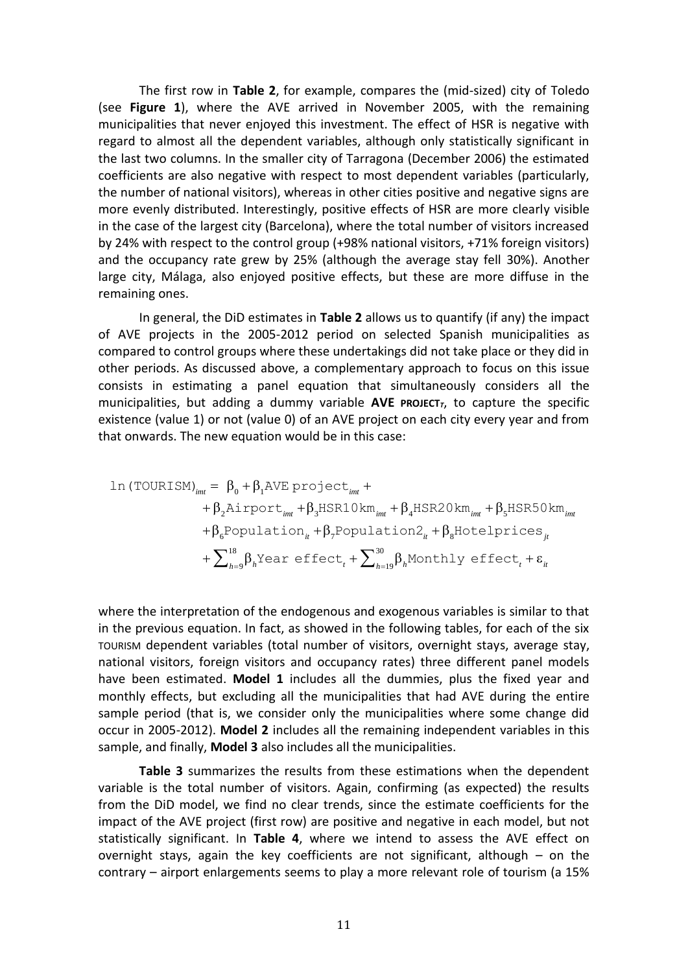The first row in **Table 2**, for example, compares the (mid-sized) city of Toledo (see **Figure 1**), where the AVE arrived in November 2005, with the remaining municipalities that never enjoyed this investment. The effect of HSR is negative with regard to almost all the dependent variables, although only statistically significant in the last two columns. In the smaller city of Tarragona (December 2006) the estimated coefficients are also negative with respect to most dependent variables (particularly, the number of national visitors), whereas in other cities positive and negative signs are more evenly distributed. Interestingly, positive effects of HSR are more clearly visible in the case of the largest city (Barcelona), where the total number of visitors increased by 24% with respect to the control group (+98% national visitors, +71% foreign visitors) and the occupancy rate grew by 25% (although the average stay fell 30%). Another large city, Málaga, also enjoyed positive effects, but these are more diffuse in the remaining ones.

In general, the DiD estimates in **Table 2** allows us to quantify (if any) the impact of AVE projects in the 2005-2012 period on selected Spanish municipalities as compared to control groups where these undertakings did not take place or they did in other periods. As discussed above, a complementary approach to focus on this issue consists in estimating a panel equation that simultaneously considers all the municipalities, but adding a dummy variable **AVE PROJECT***T*, to capture the specific existence (value 1) or not (value 0) of an AVE project on each city every year and from that onwards. The new equation would be in this case:

$$
\begin{aligned} \text{In (TOURISM)}_{\text{im}} &= \beta_0 + \beta_1 \text{AVE project}_{\text{im}t} + \\ &+ \beta_2 \text{Airport}_{\text{im}t} + \beta_3 \text{HSR10km}_{\text{im}t} + \beta_4 \text{HSR20km}_{\text{im}t} + \beta_5 \text{HSR50km}_{\text{im}t} \\ &+ \beta_6 \text{Population}_{\text{in}t} + \beta_7 \text{Population}_{\text{in}t} + \beta_8 \text{Hotelprices}_{\text{in}t} \\ &+ \sum_{h=9}^{18} \beta_h \text{Year effect}_{t} + \sum_{h=19}^{30} \beta_h \text{Monthly effect}_{t} + \varepsilon_{\text{in}t} \end{aligned}
$$

where the interpretation of the endogenous and exogenous variables is similar to that in the previous equation. In fact, as showed in the following tables, for each of the six TOURISM dependent variables (total number of visitors, overnight stays, average stay, national visitors, foreign visitors and occupancy rates) three different panel models have been estimated. **Model 1** includes all the dummies, plus the fixed year and monthly effects, but excluding all the municipalities that had AVE during the entire sample period (that is, we consider only the municipalities where some change did occur in 2005-2012). **Model 2** includes all the remaining independent variables in this sample, and finally, **Model 3** also includes all the municipalities.

**Table 3** summarizes the results from these estimations when the dependent variable is the total number of visitors. Again, confirming (as expected) the results from the DiD model, we find no clear trends, since the estimate coefficients for the impact of the AVE project (first row) are positive and negative in each model, but not statistically significant. In **Table 4**, where we intend to assess the AVE effect on overnight stays, again the key coefficients are not significant, although – on the contrary – airport enlargements seems to play a more relevant role of tourism (a 15%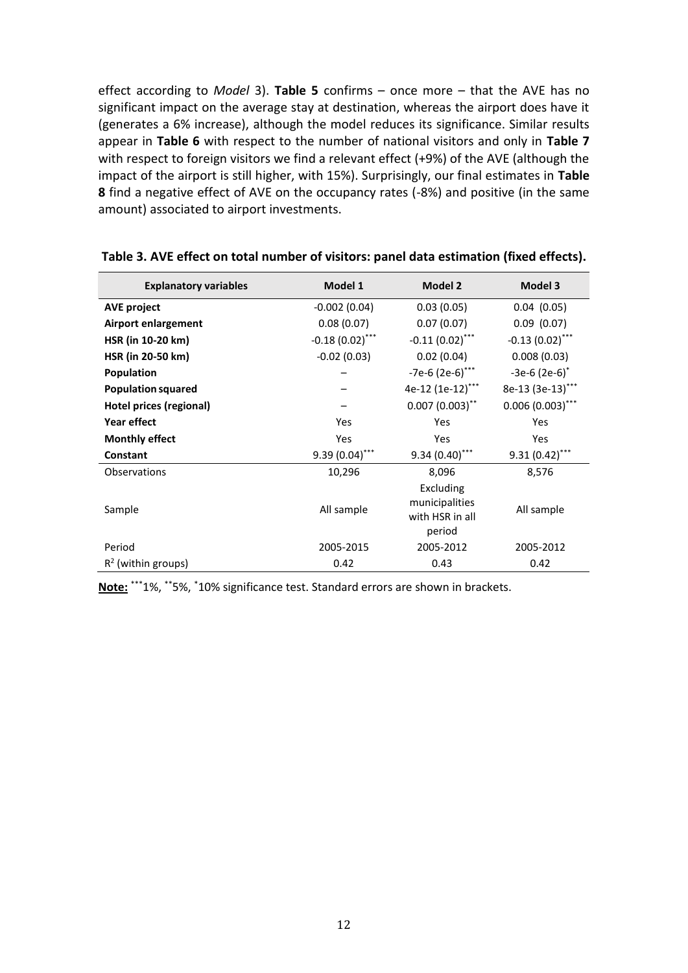effect according to *Model* 3). **Table 5** confirms – once more – that the AVE has no significant impact on the average stay at destination, whereas the airport does have it (generates a 6% increase), although the model reduces its significance. Similar results appear in **Table 6** with respect to the number of national visitors and only in **Table 7** with respect to foreign visitors we find a relevant effect (+9%) of the AVE (although the impact of the airport is still higher, with 15%). Surprisingly, our final estimates in **Table 8** find a negative effect of AVE on the occupancy rates (-8%) and positive (in the same amount) associated to airport investments.

| <b>Explanatory variables</b> | Model 1           | Model 2                                                  | Model 3            |
|------------------------------|-------------------|----------------------------------------------------------|--------------------|
| <b>AVE project</b>           | $-0.002(0.04)$    | 0.03(0.05)                                               | 0.04(0.05)         |
| Airport enlargement          | 0.08(0.07)        | 0.07(0.07)                                               | $0.09$ $(0.07)$    |
| HSR (in 10-20 km)            | $-0.18(0.02)$ *** | $-0.11(0.02)$ ***                                        | $-0.13(0.02)$ ***  |
| HSR (in 20-50 km)            | $-0.02(0.03)$     | 0.02(0.04)                                               | 0.008(0.03)        |
| <b>Population</b>            |                   | $-7e-6$ (2e-6) <sup>***</sup>                            | $-3e-6(2e-6)^*$    |
| <b>Population squared</b>    |                   | 4e-12 (1e-12)***                                         | 8e-13 (3e-13)***   |
| Hotel prices (regional)      |                   | $0.007(0.003)$ **                                        | $0.006(0.003)$ *** |
| Year effect                  | Yes               | <b>Yes</b>                                               | Yes                |
| <b>Monthly effect</b>        | Yes               | <b>Yes</b>                                               | Yes                |
| <b>Constant</b>              | $9.39(0.04)$ ***  | $9.34(0.40)$ ***                                         | $9.31(0.42)$ ***   |
| Observations                 | 10,296            | 8,096                                                    | 8,576              |
| Sample                       | All sample        | Excluding<br>municipalities<br>with HSR in all<br>period | All sample         |
| Period                       | 2005-2015         | 2005-2012                                                | 2005-2012          |
| $R^2$ (within groups)        | 0.42              | 0.43                                                     | 0.42               |

#### **Table 3. AVE effect on total number of visitors: panel data estimation (fixed effects).**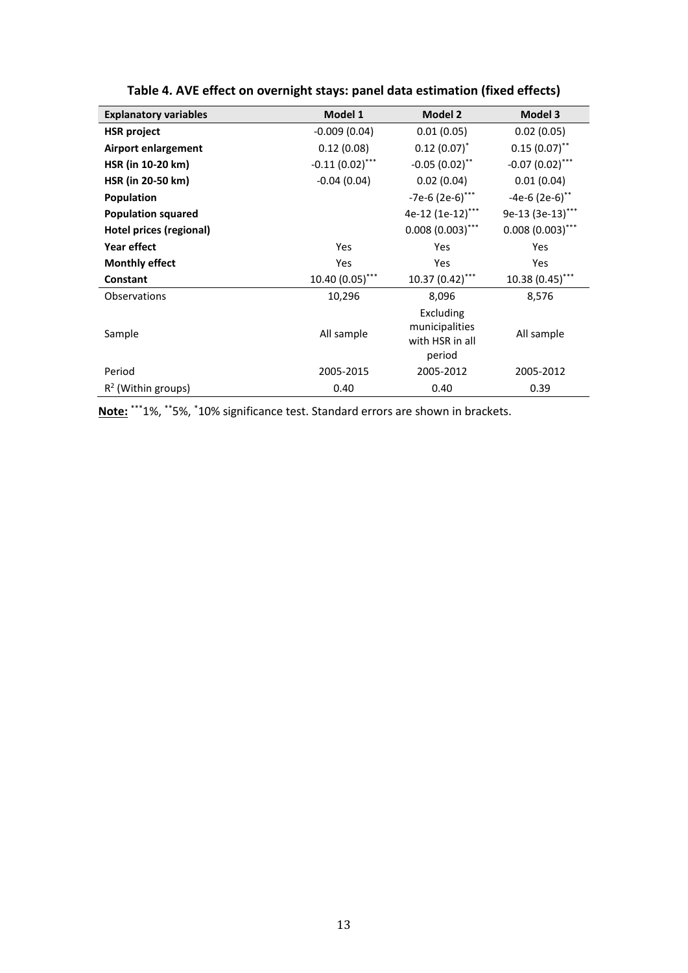| <b>Explanatory variables</b> | Model 1           | <b>Model 2</b>                                           | Model 3                      |
|------------------------------|-------------------|----------------------------------------------------------|------------------------------|
| <b>HSR</b> project           | $-0.009(0.04)$    | 0.01(0.05)                                               | 0.02(0.05)                   |
| Airport enlargement          | 0.12(0.08)        | $0.12(0.07)^*$                                           | $0.15(0.07)$ **              |
| HSR (in 10-20 km)            | $-0.11(0.02)$ *** | $-0.05(0.02)$ **                                         | $-0.07(0.02)$ ***            |
| HSR (in 20-50 km)            | $-0.04(0.04)$     | 0.02(0.04)                                               | 0.01(0.04)                   |
| <b>Population</b>            |                   | $-7e-6$ (2e-6) <sup>***</sup>                            | $-4e-6$ (2e-6) <sup>**</sup> |
| <b>Population squared</b>    |                   | 4e-12 (1e-12)***                                         | 9e-13 (3e-13)***             |
| Hotel prices (regional)      |                   | $0.008(0.003)$ ***                                       | $0.008(0.003)$ ***           |
| <b>Year effect</b>           | Yes               | <b>Yes</b>                                               | Yes                          |
| <b>Monthly effect</b>        | Yes               | <b>Yes</b>                                               | Yes                          |
| Constant                     | $10.40(0.05)$ *** | $10.37(0.42)$ ***                                        | $10.38(0.45)$ ***            |
| <b>Observations</b>          | 10,296            | 8,096                                                    | 8,576                        |
| Sample                       | All sample        | Excluding<br>municipalities<br>with HSR in all<br>period | All sample                   |
| Period                       | 2005-2015         | 2005-2012                                                | 2005-2012                    |
| $R^2$ (Within groups)        | 0.40              | 0.40                                                     | 0.39                         |

|  | Table 4. AVE effect on overnight stays: panel data estimation (fixed effects) |  |  |
|--|-------------------------------------------------------------------------------|--|--|
|--|-------------------------------------------------------------------------------|--|--|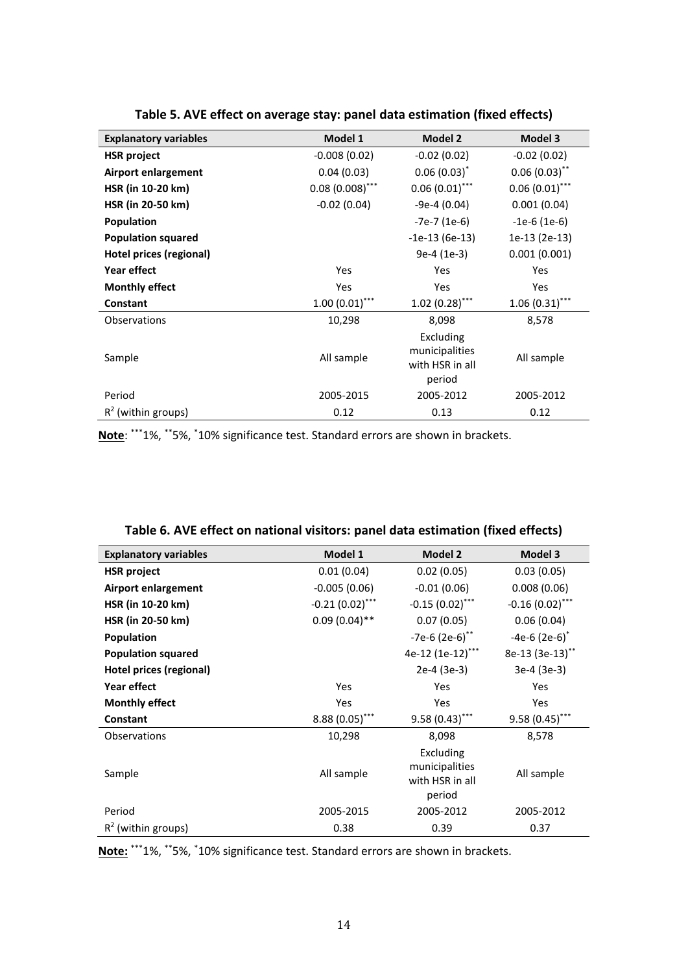| <b>Explanatory variables</b> | Model 1           | <b>Model 2</b>                                           | Model 3          |
|------------------------------|-------------------|----------------------------------------------------------|------------------|
| <b>HSR</b> project           | $-0.008(0.02)$    | $-0.02(0.02)$                                            | $-0.02(0.02)$    |
| Airport enlargement          | 0.04(0.03)        | $0.06(0.03)^*$                                           | $0.06(0.03)$ **  |
| HSR (in 10-20 km)            | $0.08(0.008)$ *** | $0.06(0.01)$ ***                                         | $0.06(0.01)$ *** |
| HSR (in 20-50 km)            | $-0.02(0.04)$     | $-9e-4(0.04)$                                            | 0.001(0.04)      |
| <b>Population</b>            |                   | $-7e-7(1e-6)$                                            | $-1e-6(1e-6)$    |
| <b>Population squared</b>    |                   | $-1e-13(6e-13)$                                          | 1e-13 (2e-13)    |
| Hotel prices (regional)      |                   | 9e-4 (1e-3)                                              | 0.001(0.001)     |
| Year effect                  | <b>Yes</b>        | Yes                                                      | <b>Yes</b>       |
| <b>Monthly effect</b>        | Yes               | <b>Yes</b>                                               | <b>Yes</b>       |
| Constant                     | $1.00(0.01)$ ***  | $1.02(0.28)$ ***                                         | $1.06(0.31)$ *** |
| <b>Observations</b>          | 10,298            | 8,098                                                    | 8,578            |
| Sample                       | All sample        | Excluding<br>municipalities<br>with HSR in all<br>period | All sample       |
| Period                       | 2005-2015         | 2005-2012                                                | 2005-2012        |
| $R^2$ (within groups)        | 0.12              | 0.13                                                     | 0.12             |

**Table 5. AVE effect on average stay: panel data estimation (fixed effects)**

**Note**: \*\*\*1%, \*\*5%, \*10% significance test. Standard errors are shown in brackets.

| <b>Explanatory variables</b> | Model 1           | <b>Model 2</b>                                           | Model 3           |
|------------------------------|-------------------|----------------------------------------------------------|-------------------|
| <b>HSR</b> project           | 0.01(0.04)        | 0.02(0.05)                                               | 0.03(0.05)        |
| Airport enlargement          | $-0.005(0.06)$    | $-0.01(0.06)$                                            | 0.008(0.06)       |
| HSR (in 10-20 km)            | $-0.21(0.02)$ *** | $-0.15(0.02)$ ***                                        | $-0.16(0.02)$ *** |
| HSR (in 20-50 km)            | $0.09(0.04)$ **   | 0.07(0.05)                                               | 0.06(0.04)        |
| <b>Population</b>            |                   | $-7e-6$ (2e-6) <sup>**</sup>                             | $-4e-6(2e-6)^*$   |
| <b>Population squared</b>    |                   | 4e-12 (1e-12)***                                         | 8e-13 (3e-13)**   |
| Hotel prices (regional)      |                   | 2e-4 (3e-3)                                              | 3e-4 (3e-3)       |
| Year effect                  | Yes               | Yes                                                      | Yes               |
| <b>Monthly effect</b>        | Yes               | Yes                                                      | Yes               |
| Constant                     | $8.88(0.05)$ ***  | $9.58(0.43)$ ***                                         | $9.58(0.45)$ ***  |
| Observations                 | 10,298            | 8,098                                                    | 8,578             |
| Sample                       | All sample        | Excluding<br>municipalities<br>with HSR in all<br>period | All sample        |
| Period                       | 2005-2015         | 2005-2012                                                | 2005-2012         |
| $R^2$ (within groups)        | 0.38              | 0.39                                                     | 0.37              |

| Table 6. AVE effect on national visitors: panel data estimation (fixed effects) |  |  |  |
|---------------------------------------------------------------------------------|--|--|--|
|---------------------------------------------------------------------------------|--|--|--|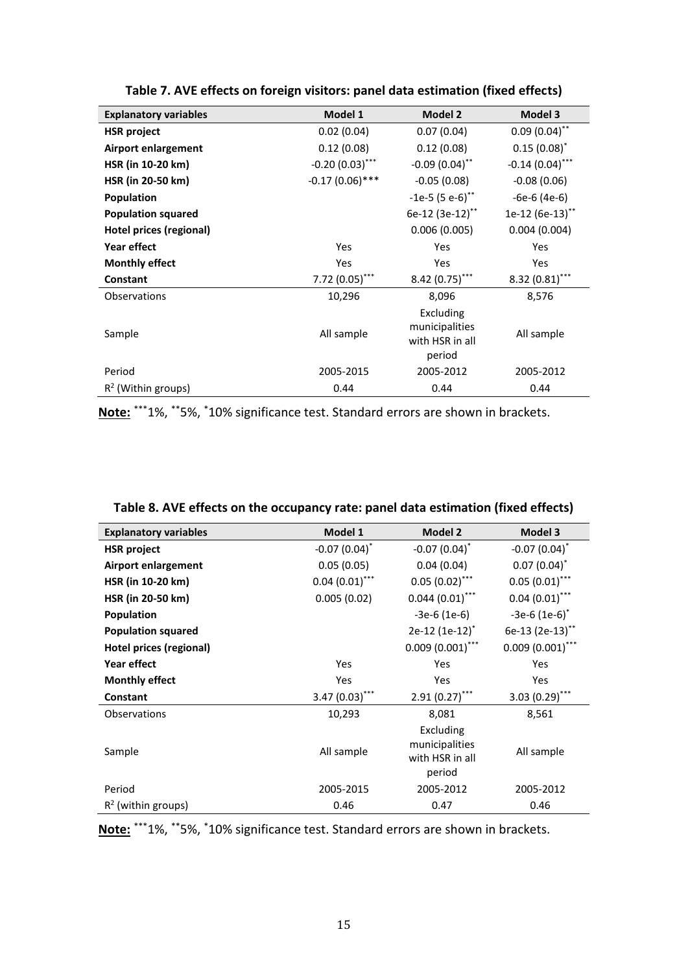| <b>Explanatory variables</b> | Model 1           | <b>Model 2</b>                                           | Model 3           |
|------------------------------|-------------------|----------------------------------------------------------|-------------------|
| <b>HSR</b> project           | 0.02(0.04)        | 0.07(0.04)                                               | $0.09(0.04)$ **   |
| Airport enlargement          | 0.12(0.08)        | 0.12(0.08)                                               | $0.15(0.08)^*$    |
| HSR (in 10-20 km)            | $-0.20(0.03)$ *** | $-0.09(0.04)$ **                                         | $-0.14(0.04)$ *** |
| HSR (in 20-50 km)            | $-0.17(0.06)$ *** | $-0.05(0.08)$                                            | $-0.08(0.06)$     |
| <b>Population</b>            |                   | $-1e-5(5e-6)$ **                                         | $-6e-6$ (4e-6)    |
| <b>Population squared</b>    |                   | 6e-12 (3e-12)**                                          | 1e-12 (6e-13)**   |
| Hotel prices (regional)      |                   | 0.006(0.005)                                             | 0.004(0.004)      |
| <b>Year effect</b>           | Yes               | Yes                                                      | Yes               |
| <b>Monthly effect</b>        | <b>Yes</b>        | <b>Yes</b>                                               | Yes               |
| Constant                     | 7.72 $(0.05)$ *** | 8.42 $(0.75)$ ***                                        | $8.32(0.81)$ ***  |
| <b>Observations</b>          | 10,296            | 8,096                                                    | 8,576             |
| Sample                       | All sample        | Excluding<br>municipalities<br>with HSR in all<br>period | All sample        |
| Period                       | 2005-2015         | 2005-2012                                                | 2005-2012         |
| $R^2$ (Within groups)        | 0.44              | 0.44                                                     | 0.44              |

|  | Table 7. AVE effects on foreign visitors: panel data estimation (fixed effects) |  |  |  |  |  |  |
|--|---------------------------------------------------------------------------------|--|--|--|--|--|--|
|--|---------------------------------------------------------------------------------|--|--|--|--|--|--|

**Note:** \*\*\*1%, \*\*5%, \*10% significance test. Standard errors are shown in brackets.

| <b>Explanatory variables</b> | Model 1          | Model 2          | Model 3          |
|------------------------------|------------------|------------------|------------------|
| <b>HSR</b> project           | $-0.07(0.04)^*$  | $-0.07(0.04)^*$  | $-0.07(0.04)^*$  |
| Airport enlargement          | 0.05(0.05)       | 0.04(0.04)       | $0.07(0.04)^*$   |
| HSR (in 10-20 km)            | $0.04(0.01)$ *** | $0.05(0.02)$ *** | $0.05(0.01)$ *** |

**HSR (in 20-50 km)** 0.005 (0.02) 0.044 (0.01)<sup>\*\*\*</sup> 0.04 (0.01)<sup>\*\*\*</sup> **Population** -3e-6 (1e-6) -3e-6 (1e-6) -3e-6 (1e-6) -3e-6 (1e-6) + 3e-6 (1e-6) + 3e-6 (1e-6) + 3e-6 (1e-6) +  $\frac{1}{2}$ **Population squared** 2e-12 (1e-12)<sup>\*</sup> 6e-13 (2e-13)<sup>\*\*</sup> **Hotel prices (regional)** 0.009 (0.001)<sup>\*\*\*</sup> 0.009 (0.001)<sup>\*\*\*</sup> **Year effect** Yes Yes Yes Yes Yes Yes Yes **Monthly effect** Yes Yes Yes Yes Yes Yes

|  | Table 8. AVE effects on the occupancy rate: panel data estimation (fixed effects) |  |
|--|-----------------------------------------------------------------------------------|--|
|--|-----------------------------------------------------------------------------------|--|

| Constant              | $3.47(0.03)$ *** | $2.91(0.27)$ ***                                         | $3.03(0.29)$ *** |
|-----------------------|------------------|----------------------------------------------------------|------------------|
| <b>Observations</b>   | 10,293           | 8,081                                                    | 8,561            |
| Sample                | All sample       | Excluding<br>municipalities<br>with HSR in all<br>period | All sample       |
| Period                | 2005-2015        | 2005-2012                                                | 2005-2012        |
| $R^2$ (within groups) | 0.46             | 0.47                                                     | 0.46             |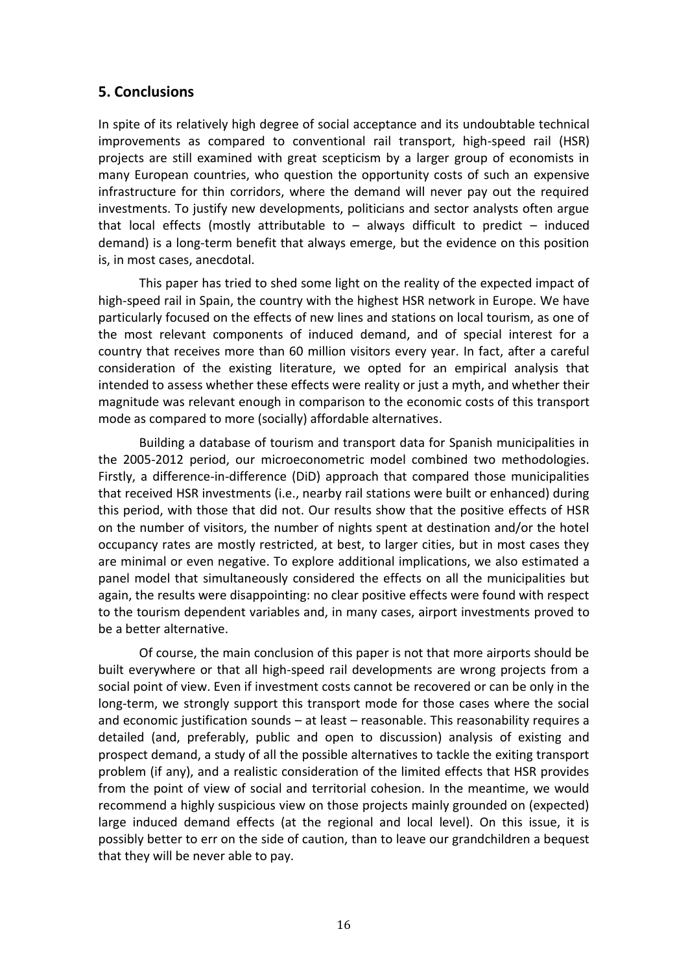# **5. Conclusions**

In spite of its relatively high degree of social acceptance and its undoubtable technical improvements as compared to conventional rail transport, high-speed rail (HSR) projects are still examined with great scepticism by a larger group of economists in many European countries, who question the opportunity costs of such an expensive infrastructure for thin corridors, where the demand will never pay out the required investments. To justify new developments, politicians and sector analysts often argue that local effects (mostly attributable to  $-$  always difficult to predict  $-$  induced demand) is a long-term benefit that always emerge, but the evidence on this position is, in most cases, anecdotal.

This paper has tried to shed some light on the reality of the expected impact of high-speed rail in Spain, the country with the highest HSR network in Europe. We have particularly focused on the effects of new lines and stations on local tourism, as one of the most relevant components of induced demand, and of special interest for a country that receives more than 60 million visitors every year. In fact, after a careful consideration of the existing literature, we opted for an empirical analysis that intended to assess whether these effects were reality or just a myth, and whether their magnitude was relevant enough in comparison to the economic costs of this transport mode as compared to more (socially) affordable alternatives.

Building a database of tourism and transport data for Spanish municipalities in the 2005-2012 period, our microeconometric model combined two methodologies. Firstly, a difference-in-difference (DiD) approach that compared those municipalities that received HSR investments (i.e., nearby rail stations were built or enhanced) during this period, with those that did not. Our results show that the positive effects of HSR on the number of visitors, the number of nights spent at destination and/or the hotel occupancy rates are mostly restricted, at best, to larger cities, but in most cases they are minimal or even negative. To explore additional implications, we also estimated a panel model that simultaneously considered the effects on all the municipalities but again, the results were disappointing: no clear positive effects were found with respect to the tourism dependent variables and, in many cases, airport investments proved to be a better alternative.

Of course, the main conclusion of this paper is not that more airports should be built everywhere or that all high-speed rail developments are wrong projects from a social point of view. Even if investment costs cannot be recovered or can be only in the long-term, we strongly support this transport mode for those cases where the social and economic justification sounds – at least – reasonable. This reasonability requires a detailed (and, preferably, public and open to discussion) analysis of existing and prospect demand, a study of all the possible alternatives to tackle the exiting transport problem (if any), and a realistic consideration of the limited effects that HSR provides from the point of view of social and territorial cohesion. In the meantime, we would recommend a highly suspicious view on those projects mainly grounded on (expected) large induced demand effects (at the regional and local level). On this issue, it is possibly better to err on the side of caution, than to leave our grandchildren a bequest that they will be never able to pay.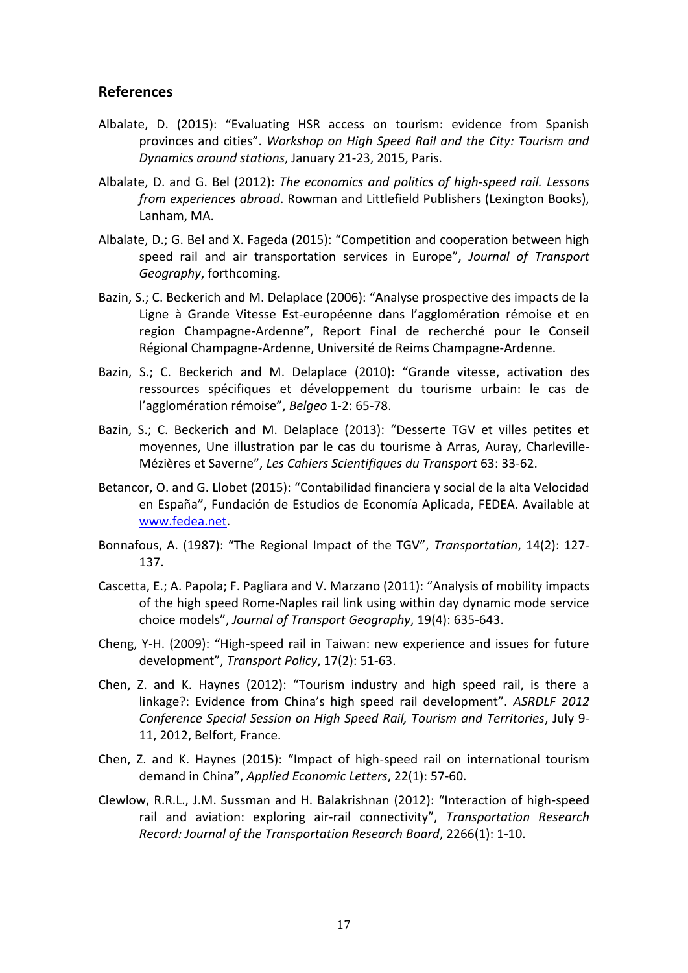#### **References**

- Albalate, D. (2015): "Evaluating HSR access on tourism: evidence from Spanish provinces and cities". *Workshop on High Speed Rail and the City: Tourism and Dynamics around stations*, January 21-23, 2015, Paris.
- Albalate, D. and G. Bel (2012): *The economics and politics of high-speed rail. Lessons from experiences abroad*. Rowman and Littlefield Publishers (Lexington Books), Lanham, MA.
- Albalate, D.; G. Bel and X. Fageda (2015): "Competition and cooperation between high speed rail and air transportation services in Europe", *Journal of Transport Geography*, forthcoming.
- Bazin, S.; C. Beckerich and M. Delaplace (2006): "Analyse prospective des impacts de la Ligne à Grande Vitesse Est-européenne dans l'agglomération rémoise et en region Champagne-Ardenne", Report Final de recherché pour le Conseil Régional Champagne-Ardenne, Université de Reims Champagne-Ardenne.
- Bazin, S.; C. Beckerich and M. Delaplace (2010): "Grande vitesse, activation des ressources spécifiques et développement du tourisme urbain: le cas de l'agglomération rémoise", *Belgeo* 1-2: 65-78.
- Bazin, S.; C. Beckerich and M. Delaplace (2013): "Desserte TGV et villes petites et moyennes, Une illustration par le cas du tourisme à Arras, Auray, Charleville-Mézières et Saverne", *Les Cahiers Scientifiques du Transport* 63: 33-62.
- Betancor, O. and G. Llobet (2015): "Contabilidad financiera y social de la alta Velocidad en España", Fundación de Estudios de Economía Aplicada, FEDEA. Available at [www.fedea.net.](http://www.fedea.net/)
- Bonnafous, A. (1987): "The Regional Impact of the TGV", *Transportation*, 14(2): 127- 137.
- Cascetta, E.; A. Papola; F. Pagliara and V. Marzano (2011): "Analysis of mobility impacts of the high speed Rome-Naples rail link using within day dynamic mode service choice models", *Journal of Transport Geography*, 19(4): 635-643.
- Cheng, Y-H. (2009): "High-speed rail in Taiwan: new experience and issues for future development", *Transport Policy*, 17(2): 51-63.
- Chen, Z. and K. Haynes (2012): "Tourism industry and high speed rail, is there a linkage?: Evidence from China's high speed rail development". *ASRDLF 2012 Conference Special Session on High Speed Rail, Tourism and Territories*, July 9- 11, 2012, Belfort, France.
- Chen, Z. and K. Haynes (2015): "Impact of high-speed rail on international tourism demand in China", *Applied Economic Letters*, 22(1): 57-60.
- Clewlow, R.R.L., J.M. Sussman and H. Balakrishnan (2012): "Interaction of high-speed rail and aviation: exploring air-rail connectivity", *Transportation Research Record: Journal of the Transportation Research Board*, 2266(1): 1-10.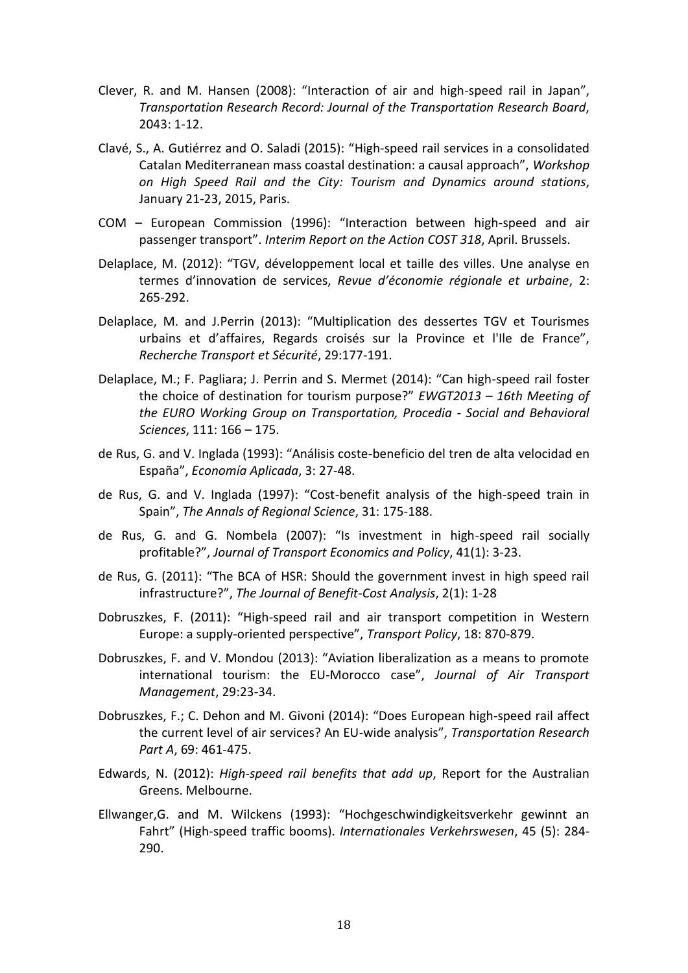- Clever, R. and M. Hansen (2008): "Interaction of air and high-speed rail in Japan", *Transportation Research Record: Journal of the Transportation Research Board*, 2043: 1-12.
- Clavé, S., A. Gutiérrez and O. Saladi (2015): "High-speed rail services in a consolidated Catalan Mediterranean mass coastal destination: a causal approach", *Workshop on High Speed Rail and the City: Tourism and Dynamics around stations*, January 21-23, 2015, Paris.
- COM European Commission (1996): "Interaction between high-speed and air passenger transport". *Interim Report on the Action COST 318*, April. Brussels.
- Delaplace, M. (2012): "TGV, développement local et taille des villes. Une analyse en termes d'innovation de services, *Revue d'économie régionale et urbaine*, 2: 265-292.
- Delaplace, M. and J.Perrin (2013): "Multiplication des dessertes TGV et Tourismes urbains et d'affaires, Regards croisés sur la Province et l'Ile de France", *Recherche Transport et Sécurité*, 29:177-191.
- Delaplace, M.; F. Pagliara; J. Perrin and S. Mermet (2014): "Can high-speed rail foster the choice of destination for tourism purpose?" *EWGT2013 – 16th Meeting of the EURO Working Group on Transportation, Procedia - Social and Behavioral Sciences*, 111: 166 – 175.
- de Rus, G. and V. Inglada (1993): "Análisis coste-beneficio del tren de alta velocidad en España", *Economía Aplicada*, 3: 27-48.
- de Rus, G. and V. Inglada (1997): "Cost-benefit analysis of the high-speed train in Spain", *The Annals of Regional Science*, 31: 175-188.
- de Rus, G. and G. Nombela (2007): "Is investment in high-speed rail socially profitable?", *Journal of Transport Economics and Policy*, 41(1): 3-23.
- de Rus, G. (2011): "The BCA of HSR: Should the government invest in high speed rail infrastructure?", *The Journal of Benefit-Cost Analysis*, 2(1): 1-28
- Dobruszkes, F. (2011): "High-speed rail and air transport competition in Western Europe: a supply-oriented perspective", *Transport Policy*, 18: 870-879.
- Dobruszkes, F. and V. Mondou (2013): "Aviation liberalization as a means to promote international tourism: the EU-Morocco case", *Journal of Air Transport Management*, 29:23-34.
- Dobruszkes, F.; C. Dehon and M. Givoni (2014): "Does European high-speed rail affect the current level of air services? An EU-wide analysis", *Transportation Research Part A*, 69: 461-475.
- Edwards, N. (2012): *High-speed rail benefits that add up*, Report for the Australian Greens. Melbourne.
- Ellwanger,G. and M. Wilckens (1993): "Hochgeschwindigkeitsverkehr gewinnt an Fahrt" (High-speed traffic booms). *Internationales Verkehrswesen*, 45 (5): 284- 290.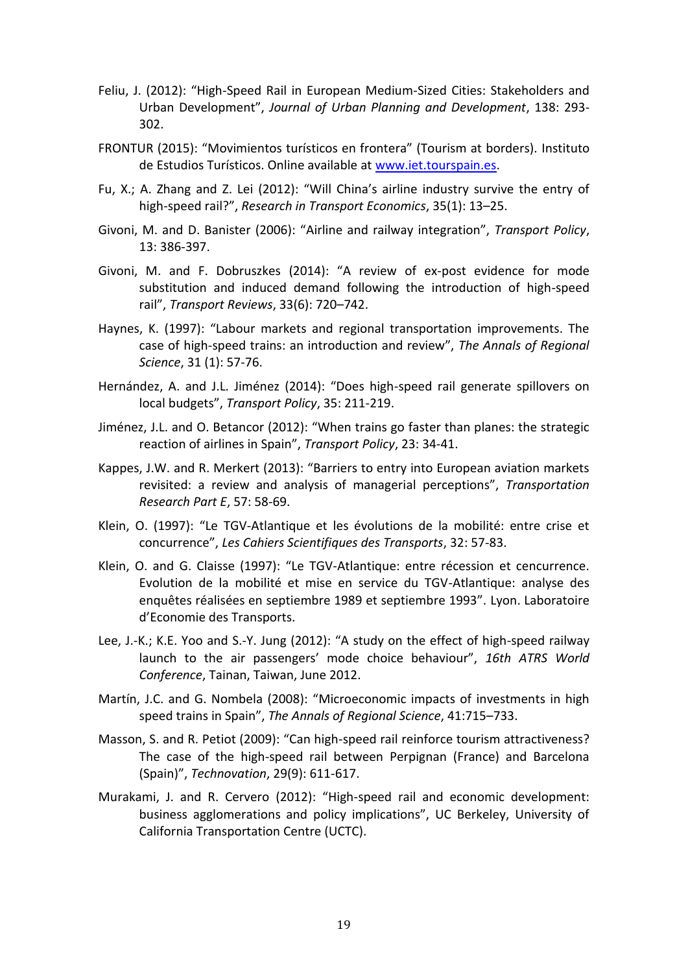- Feliu, J. (2012): "High-Speed Rail in European Medium-Sized Cities: Stakeholders and Urban Development", *Journal of Urban Planning and Development*, 138: 293- 302.
- FRONTUR (2015): "Movimientos turísticos en frontera" (Tourism at borders). Instituto de Estudios Turísticos. Online available at [www.iet.tourspain.es.](http://www.iet.tourspain.es/)
- Fu, X.; A. Zhang and Z. Lei (2012): "Will China's airline industry survive the entry of high-speed rail?", *Research in Transport Economics*, 35(1): 13–25.
- Givoni, M. and D. Banister (2006): "Airline and railway integration", *Transport Policy*, 13: 386-397.
- Givoni, M. and F. Dobruszkes (2014): "A review of ex-post evidence for mode substitution and induced demand following the introduction of high-speed rail", *Transport Reviews*, 33(6): 720–742.
- Haynes, K. (1997): "Labour markets and regional transportation improvements. The case of high-speed trains: an introduction and review", *The Annals of Regional Science*, 31 (1): 57-76.
- Hernández, A. and J.L. Jiménez (2014): "Does high-speed rail generate spillovers on local budgets", *Transport Policy*, 35: 211-219.
- Jiménez, J.L. and O. Betancor (2012): "When trains go faster than planes: the strategic reaction of airlines in Spain", *Transport Policy*, 23: 34-41.
- Kappes, J.W. and R. Merkert (2013): "Barriers to entry into European aviation markets revisited: a review and analysis of managerial perceptions", *Transportation Research Part E*, 57: 58-69.
- Klein, O. (1997): "Le TGV-Atlantique et les évolutions de la mobilité: entre crise et concurrence", *Les Cahiers Scientifiques des Transports*, 32: 57-83.
- Klein, O. and G. Claisse (1997): "Le TGV-Atlantique: entre récession et cencurrence. Evolution de la mobilité et mise en service du TGV-Atlantique: analyse des enquêtes réalisées en septiembre 1989 et septiembre 1993". Lyon. Laboratoire d'Economie des Transports.
- Lee, J.-K.; K.E. Yoo and S.-Y. Jung (2012): "A study on the effect of high-speed railway launch to the air passengers' mode choice behaviour", *16th ATRS World Conference*, Tainan, Taiwan, June 2012.
- Martín, J.C. and G. Nombela (2008): "Microeconomic impacts of investments in high speed trains in Spain", *The Annals of Regional Science*, 41:715–733.
- Masson, S. and R. Petiot (2009): "Can high-speed rail reinforce tourism attractiveness? The case of the high-speed rail between Perpignan (France) and Barcelona (Spain)", *Technovation*, 29(9): 611-617.
- Murakami, J. and R. Cervero (2012): "High-speed rail and economic development: business agglomerations and policy implications", UC Berkeley, University of California Transportation Centre (UCTC).